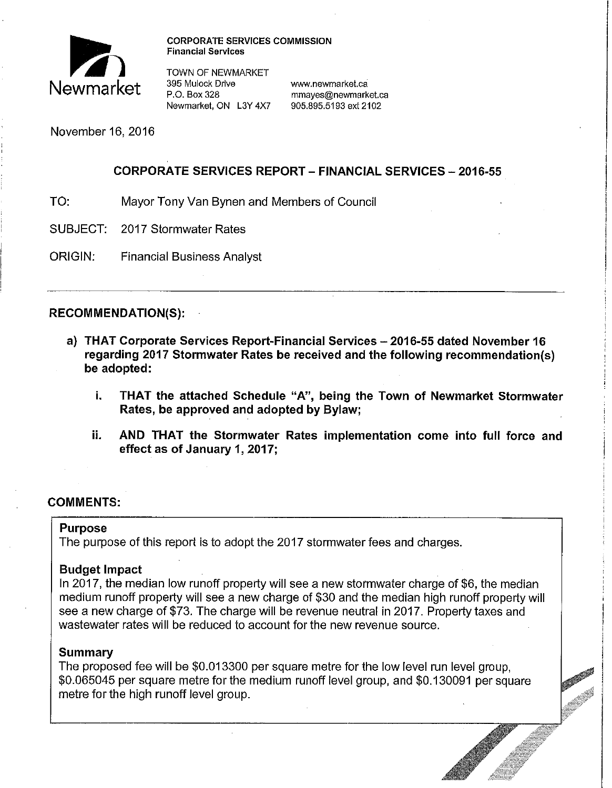

**CORPORATE SERVICES COMMISSION Financial Services** 

TOWN OF NEWMARKET<br>395 Mulock Drive 395 Mulock Drive **www.newmarket.ca** Newmarket, ON L3Y 4X7

mmayes@newmarket.ca<br>905.895.5193 ext 2102

November 16, 2016

## **CORPORATE SERVICES REPORT- FINANCIAL SERVICES-2016-55**

- TO: Mayor Tony Van Bynen and Members of Council
- SUBJECT: 2017 Stormwater Rates
- ORIGIN: Financial Business Analyst

# **RECOMMENDATION(S):**

- **a) THAT Corporate Services Report-Financial Services - 2016-55 dated November 16 regarding 2017 Stormwater Rates be received and the following recommendation(s) be adopted:** 
	- **i. THAT the attached Schedule "A", being the Town of Newmarket Stormwater Rates, be approved and adopted by Bylaw;**
	- **ii. AND THAT the Stormwater Rates implementation come into full force and effect as of January 1, 2017;**

# **COMMENTS:**

### **Purpose**

The purpose of this report is to adopt the 2017 stormwater fees and charges.

# **Budget Impact**

In 2017, the median low runoff property will see a new stormwater charge of \$6, the median medium runoff property will see a new charge of \$30 and the median high runoff property will see a new charge of \$73. The charge will be revenue neutral in 2017. Property taxes and wastewater rates will be reduced to account for the new revenue source.

# **Summary**

The proposed fee will be \$0.013300 per square metre for the low level run level group, \$0.065045 per square metre for the medium runoff level group, and \$0.130091 per square metre for the high runoff level group.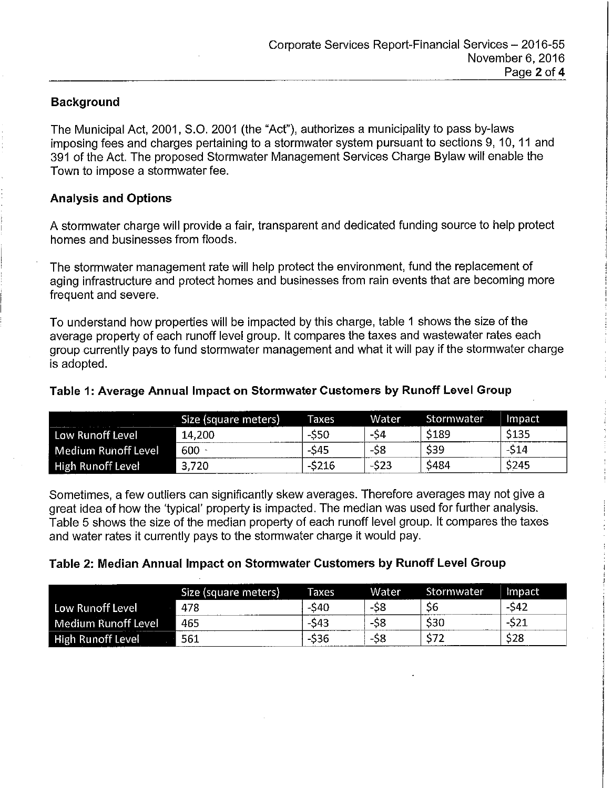#### **Background**

The Municipal Act, 2001, 8.0. 2001 (the "Act"), authorizes a municipality to pass by-laws imposing fees and charges pertaining to a stormwater system pursuant to sections 9, 10, 11 and 391 of the Act. The proposed Stormwater Management Services Charge Bylaw will enable the Town to impose a stormwater fee.

#### **Analysis and Options**

A stormwater charge will provide a fair, transparent and dedicated funding source to help protect homes and businesses from floods.

The stormwater management rate will help protect the environment, fund the replacement of aging infrastructure and protect homes and businesses from rain events that are becoming more frequent and severe.

To understand how properties will be impacted by this charge, table 1 shows the size of the average property of each runoff level group. It compares the taxes and wastewater rates each group currently pays to fund stormwater management and what it will pay if the stormwater charge is adopted.

#### **Table 1: Average Annual Impact on Stormwater Customers by Runoff Level Group**

|                          | Size (square meters) | Taxes  | <b>Water</b> | Stormwater  | Impact      |
|--------------------------|----------------------|--------|--------------|-------------|-------------|
| Low Runoff Level         | 14,200               | -\$50  | -54          | 5189        | <b>S135</b> |
| Medium Runoff Level      | $600 -$              | -\$45  | -S8          | <b>S39</b>  | -S14        |
| <b>High Runoff Level</b> | 3,720                | -\$216 | $-523$       | <b>S484</b> | \$245       |

Sometimes, a few outliers can significantly skew averages. Therefore averages may not give a great idea of how the 'typical' property is impacted. The median was used for further analysis. Table 5 shows the size of the median property of each runoff level group. It compares the taxes and water rates it currently pays to the stormwater charge it would pay.

#### **Table 2: Median Annual Impact on Stormwater Customers by Runoff Level Group**

|                          | Size (square meters) | <b>Taxes</b> | <b>Water</b> | Stormwater | Impact <sup>i</sup> |
|--------------------------|----------------------|--------------|--------------|------------|---------------------|
| Low Runoff Level         | 478                  | S40          | -58          | S6         | $-542$              |
| Medium Runoff Level      | 465                  | \$43         | cc<br>-50    | S30        | -52-                |
| <b>High Runoff Level</b> | 561                  | \$36         | ာင           |            | \$28                |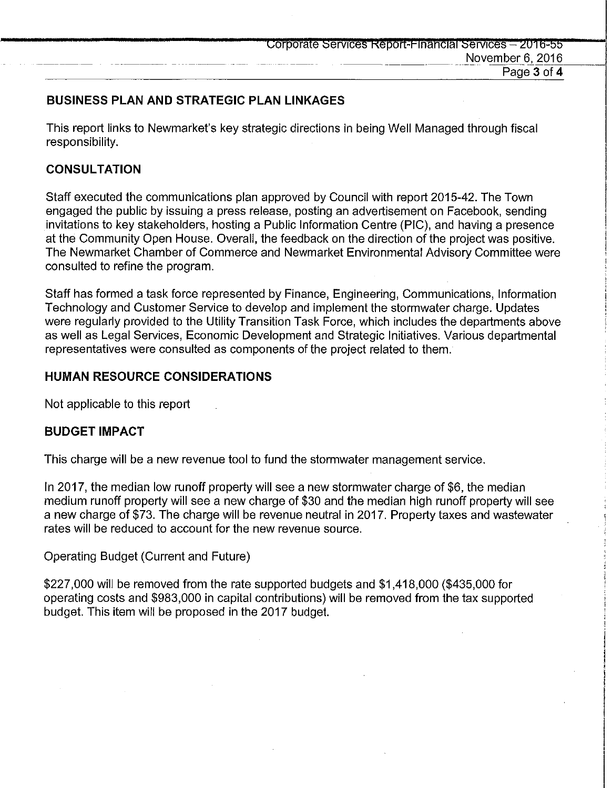## **BUSINESS PLAN AND STRATEGIC PLAN LINKAGES**

This report links to Newmarket's key strategic directions in being Well Managed through fiscal responsibility.

#### **CONSULTATION**

Staff executed the communications plan approved by Council with report 2015-42. The Town engaged the public by issuing a press release, posting an advertisement on Facebook, sending invitations to key stakeholders, hosting a Public Information Centre (PIC), and having a presence at the Community Open House. Overall, the feedback on the direction of the project was positive. The Newmarket Chamber of Commerce and Newmarket Environmental Advisory Committee were consulted to refine the program.

Staff has formed a task force represented by Finance, Engineering, Communications, Information Technology and Customer Service to develop and implement the stormwater charge. Updates were regularly provided to the Utility Transition Task Force, which includes the departments above as well as Legal Services, Economic Development and Strategic Initiatives. Various departmental representatives were consulted as components of the project related to them.

#### **HUMAN RESOURCE CONSIDERATIONS**

Not applicable to this report

#### **BUDGET IMPACT**

This charge will be a new revenue tool to fund the stormwater management service.

In 2017, the median low runoff property will see a new stormwater charge of \$6, the median medium runoff property will see a new charge of \$30 and the median high runoff property will see a new charge of \$73. The charge will be revenue neutral in 2017. Property taxes and wastewater rates will be reduced to account for the new revenue source.

Operating Budget (Current and Future)

\$227,000 will be removed from the rate supported budgets and \$1,418,000 (\$435,000 for operating costs and \$983,000 in capital contributions) will be removed from the tax supported budget. This item will be proposed in the 2017 budget.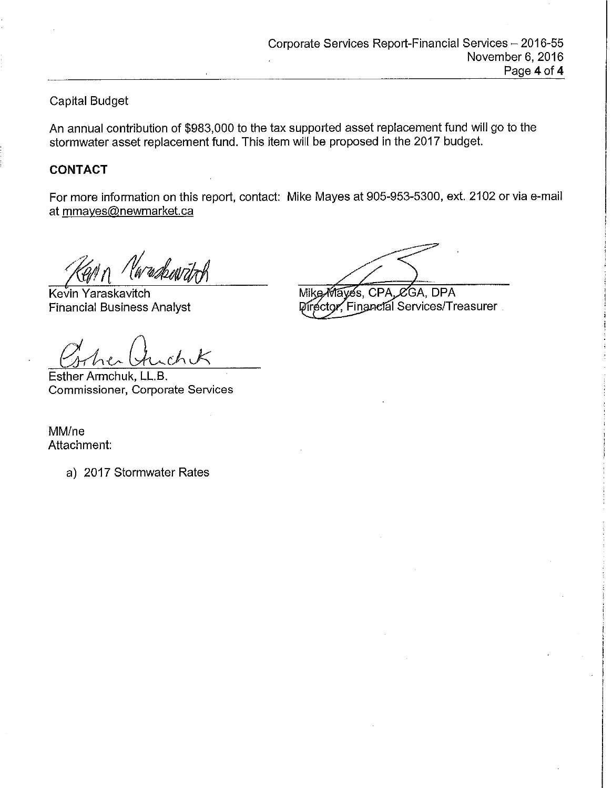## Capital Budget

An annual contribution of \$983,000 to the tax supported asset replacement fund will go to the stormwater asset replacement fund. This item will be proposed in the 2017 budget.

#### **CONTACT**

For more information on this report, contact: Mike Mayes at 905-953-5300, ext. 2102 or via e-mail at mmayes@newmarket.ca

w*d*hwitrH

Kevin Yaraskavitch Financial Business Analyst

Esther Armchuk, LL.B. Commissioner, Corporate Services

Mike Mayes, CPA, CGA, DPA Director, Financial Services/Treasurer

MM/ne Attachment:

a) 2017 Stormwater Rates